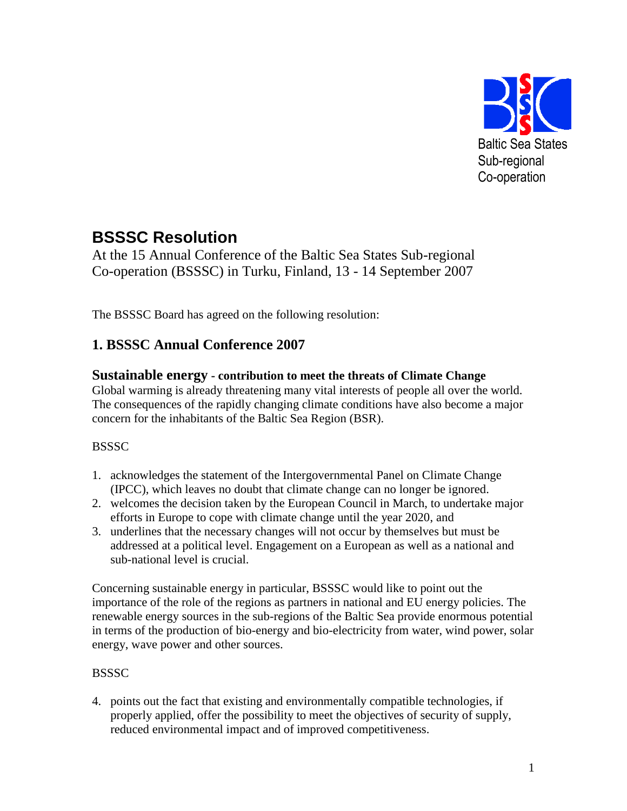

# **BSSSC Resolution**

At the 15 Annual Conference of the Baltic Sea States Sub-regional Co-operation (BSSSC) in Turku, Finland, 13 - 14 September 2007

The BSSSC Board has agreed on the following resolution:

# **1. BSSSC Annual Conference 2007**

### **Sustainable energy - contribution to meet the threats of Climate Change**

Global warming is already threatening many vital interests of people all over the world. The consequences of the rapidly changing climate conditions have also become a major concern for the inhabitants of the Baltic Sea Region (BSR).

#### **BSSSC**

- 1. acknowledges the statement of the Intergovernmental Panel on Climate Change (IPCC), which leaves no doubt that climate change can no longer be ignored.
- 2. welcomes the decision taken by the European Council in March, to undertake major efforts in Europe to cope with climate change until the year 2020, and
- 3. underlines that the necessary changes will not occur by themselves but must be addressed at a political level. Engagement on a European as well as a national and sub-national level is crucial.

Concerning sustainable energy in particular, BSSSC would like to point out the importance of the role of the regions as partners in national and EU energy policies. The renewable energy sources in the sub-regions of the Baltic Sea provide enormous potential in terms of the production of bio-energy and bio-electricity from water, wind power, solar energy, wave power and other sources.

### **BSSSC**

4. points out the fact that existing and environmentally compatible technologies, if properly applied, offer the possibility to meet the objectives of security of supply, reduced environmental impact and of improved competitiveness.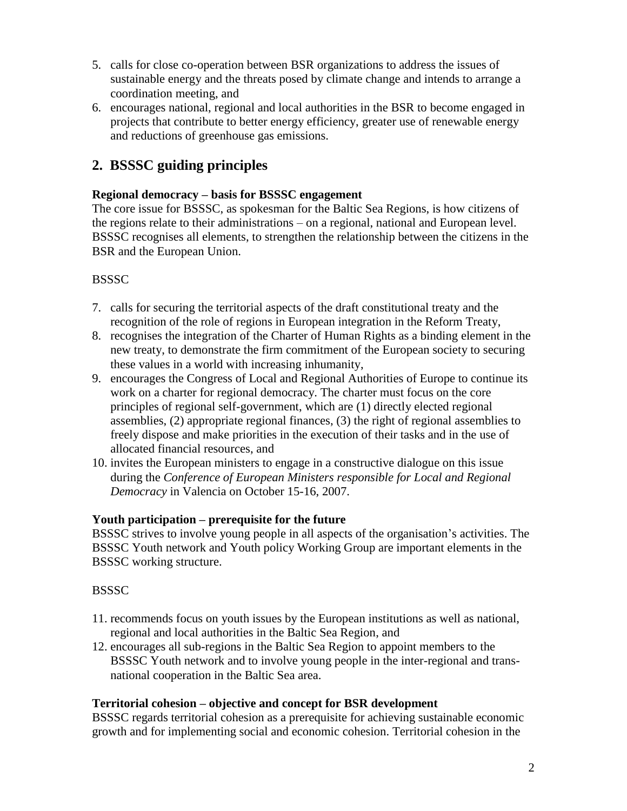- 5. calls for close co-operation between BSR organizations to address the issues of sustainable energy and the threats posed by climate change and intends to arrange a coordination meeting, and
- 6. encourages national, regional and local authorities in the BSR to become engaged in projects that contribute to better energy efficiency, greater use of renewable energy and reductions of greenhouse gas emissions.

## **2. BSSSC guiding principles**

#### **Regional democracy – basis for BSSSC engagement**

The core issue for BSSSC, as spokesman for the Baltic Sea Regions, is how citizens of the regions relate to their administrations – on a regional, national and European level. BSSSC recognises all elements, to strengthen the relationship between the citizens in the BSR and the European Union.

### **BSSSC**

- 7. calls for securing the territorial aspects of the draft constitutional treaty and the recognition of the role of regions in European integration in the Reform Treaty,
- 8. recognises the integration of the Charter of Human Rights as a binding element in the new treaty, to demonstrate the firm commitment of the European society to securing these values in a world with increasing inhumanity,
- 9. encourages the Congress of Local and Regional Authorities of Europe to continue its work on a charter for regional democracy. The charter must focus on the core principles of regional self-government, which are (1) directly elected regional assemblies, (2) appropriate regional finances, (3) the right of regional assemblies to freely dispose and make priorities in the execution of their tasks and in the use of allocated financial resources, and
- 10. invites the European ministers to engage in a constructive dialogue on this issue during the *Conference of European Ministers responsible for Local and Regional Democracy* in Valencia on October 15-16, 2007.

#### **Youth participation – prerequisite for the future**

BSSSC strives to involve young people in all aspects of the organisation's activities. The BSSSC Youth network and Youth policy Working Group are important elements in the BSSSC working structure.

#### **BSSSC**

- 11. recommends focus on youth issues by the European institutions as well as national, regional and local authorities in the Baltic Sea Region, and
- 12. encourages all sub-regions in the Baltic Sea Region to appoint members to the BSSSC Youth network and to involve young people in the inter-regional and transnational cooperation in the Baltic Sea area.

#### **Territorial cohesion – objective and concept for BSR development**

BSSSC regards territorial cohesion as a prerequisite for achieving sustainable economic growth and for implementing social and economic cohesion. Territorial cohesion in the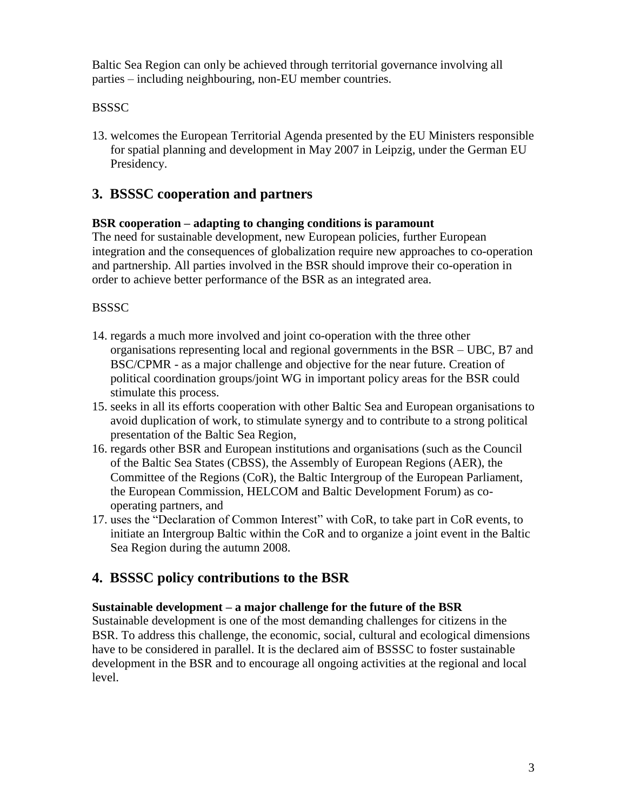Baltic Sea Region can only be achieved through territorial governance involving all parties – including neighbouring, non-EU member countries.

### **BSSSC**

13. welcomes the European Territorial Agenda presented by the EU Ministers responsible for spatial planning and development in May 2007 in Leipzig, under the German EU Presidency.

# **3. BSSSC cooperation and partners**

#### **BSR cooperation – adapting to changing conditions is paramount**

The need for sustainable development, new European policies, further European integration and the consequences of globalization require new approaches to co-operation and partnership. All parties involved in the BSR should improve their co-operation in order to achieve better performance of the BSR as an integrated area.

#### **BSSSC**

- 14. regards a much more involved and joint co-operation with the three other organisations representing local and regional governments in the BSR – UBC, B7 and BSC/CPMR - as a major challenge and objective for the near future. Creation of political coordination groups/joint WG in important policy areas for the BSR could stimulate this process.
- 15. seeks in all its efforts cooperation with other Baltic Sea and European organisations to avoid duplication of work, to stimulate synergy and to contribute to a strong political presentation of the Baltic Sea Region,
- 16. regards other BSR and European institutions and organisations (such as the Council of the Baltic Sea States (CBSS), the Assembly of European Regions (AER), the Committee of the Regions (CoR), the Baltic Intergroup of the European Parliament, the European Commission, HELCOM and Baltic Development Forum) as cooperating partners, and
- 17. uses the "Declaration of Common Interest" with CoR, to take part in CoR events, to initiate an Intergroup Baltic within the CoR and to organize a joint event in the Baltic Sea Region during the autumn 2008.

### **4. BSSSC policy contributions to the BSR**

#### **Sustainable development – a major challenge for the future of the BSR**

Sustainable development is one of the most demanding challenges for citizens in the BSR. To address this challenge, the economic, social, cultural and ecological dimensions have to be considered in parallel. It is the declared aim of BSSSC to foster sustainable development in the BSR and to encourage all ongoing activities at the regional and local level.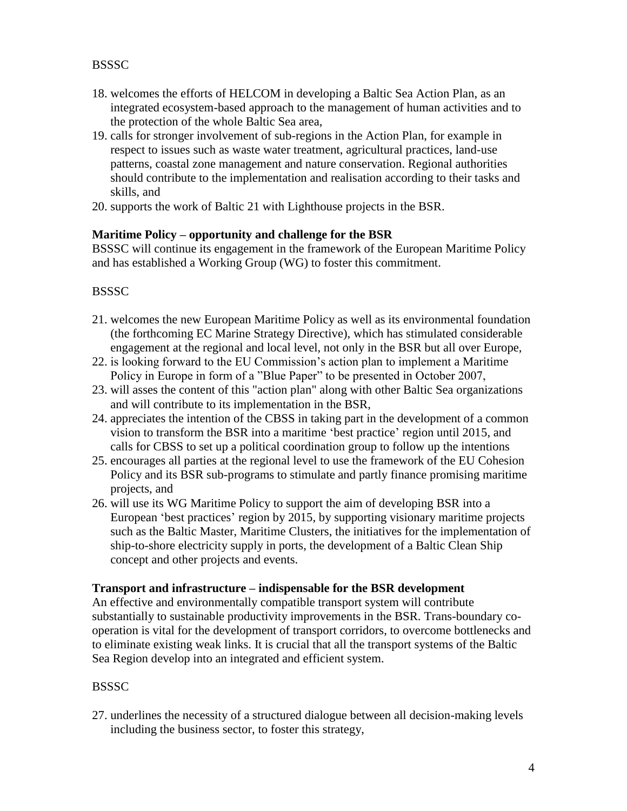#### **BSSSC**

- 18. welcomes the efforts of HELCOM in developing a Baltic Sea Action Plan, as an integrated ecosystem-based approach to the management of human activities and to the protection of the whole Baltic Sea area,
- 19. calls for stronger involvement of sub-regions in the Action Plan, for example in respect to issues such as waste water treatment, agricultural practices, land-use patterns, coastal zone management and nature conservation. Regional authorities should contribute to the implementation and realisation according to their tasks and skills, and
- 20. supports the work of Baltic 21 with Lighthouse projects in the BSR.

#### **Maritime Policy – opportunity and challenge for the BSR**

BSSSC will continue its engagement in the framework of the European Maritime Policy and has established a Working Group (WG) to foster this commitment.

#### **BSSSC**

- 21. welcomes the new European Maritime Policy as well as its environmental foundation (the forthcoming EC Marine Strategy Directive), which has stimulated considerable engagement at the regional and local level, not only in the BSR but all over Europe,
- 22. is looking forward to the EU Commission's action plan to implement a Maritime Policy in Europe in form of a "Blue Paper" to be presented in October 2007,
- 23. will asses the content of this "action plan" along with other Baltic Sea organizations and will contribute to its implementation in the BSR,
- 24. appreciates the intention of the CBSS in taking part in the development of a common vision to transform the BSR into a maritime 'best practice' region until 2015, and calls for CBSS to set up a political coordination group to follow up the intentions
- 25. encourages all parties at the regional level to use the framework of the EU Cohesion Policy and its BSR sub-programs to stimulate and partly finance promising maritime projects, and
- 26. will use its WG Maritime Policy to support the aim of developing BSR into a European 'best practices' region by 2015, by supporting visionary maritime projects such as the Baltic Master, Maritime Clusters, the initiatives for the implementation of ship-to-shore electricity supply in ports, the development of a Baltic Clean Ship concept and other projects and events.

#### **Transport and infrastructure – indispensable for the BSR development**

An effective and environmentally compatible transport system will contribute substantially to sustainable productivity improvements in the BSR. Trans-boundary cooperation is vital for the development of transport corridors, to overcome bottlenecks and to eliminate existing weak links. It is crucial that all the transport systems of the Baltic Sea Region develop into an integrated and efficient system.

#### **BSSSC**

27. underlines the necessity of a structured dialogue between all decision-making levels including the business sector, to foster this strategy,